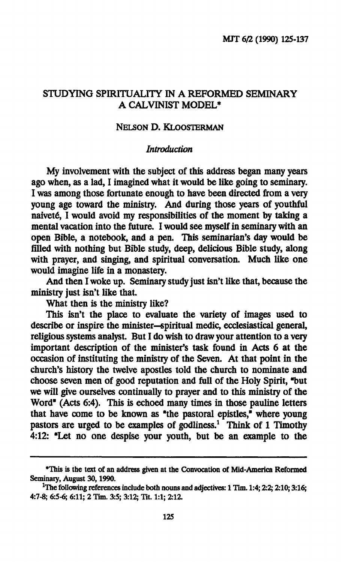### **STUDYING SPIRITUALITY IN A REFORMED SEMINARY A CALVINIST MODEL\***

#### **NELSON D. KLOOSTERMAN**

#### *Introduction*

**My involvement with the subject of this address began many years ago when, as a lad, I imagined what it would be like going to seminary. I was among those fortunate enough to have been directed from a very young age toward the ministry. And during those years of youthful naivete, I would avoid my responsibilities of the moment by taking a mental vacation into the future. I would see myself in seminary with an open Bible, a notebook, and a pen. This seminarian's day would be filled with nothing but Bible study, deep, delicious Bible study, along with prayer, and singing, and spiritual conversation. Much like one would imagine life in a monastery.** 

**And then I woke up. Seminary study just isn't like that, because the ministry just isn't like that.** 

**What then is the ministry like?** 

**This isn't the place to evaluate the variety of images used to describe or inspire the minister—spiritual medic, ecclesiastical general, religious systems analyst. But I do wish to draw your attention to a very important description of the minister's task found in Acts 6 at the occasion of instituting the ministry of the Seven. At that point in the church's history the twelve apostles told the church to nominate and choose seven men of good reputation and full of the Holy Spirit, "but we will give ourselves continually to prayer and to this ministry of the Word" (Acts 6:4). This is echoed many times in those pauline letters that have come to be known as "the pastoral epistles," where young pastors are urged to be examples of godliness.<sup>1</sup> Think of 1 Timothy 4:12: "Let no one despise your youth, but be an example to the** 

**<sup>&</sup>quot;This is the text of an address given at the Convocation of Mid-America Reformed Seminary, August 30,1990.** 

<sup>&</sup>lt;sup>1</sup>The following references include both nouns and adjectives: 1 Tim. 1:4; 2:2; 2:10; 3:16; **4:7-8; 6:5-6; 6:11; 2 Tim. 3:5; 3:12; Tit. 1:1; 2:12.**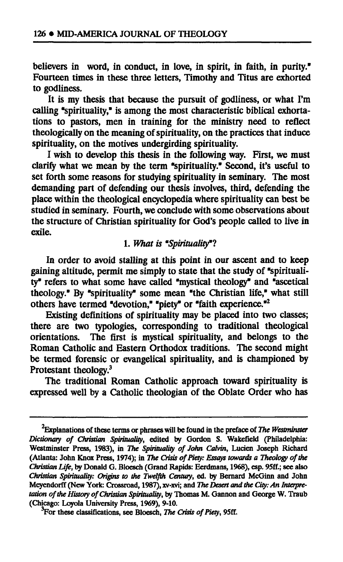**believers in word, in conduct, in love, in spirit, in faith, in purity." Fourteen times in these three letters, Timothy and Titus are exhorted to godliness.** 

**It is my thesis that because the pursuit of godliness, or what I'm calling "spirituality," is among the most characteristic biblical exhortations to pastors, men in training for the ministry need to reflect theologically on the meaning of spirituality, on the practices that induce spirituality, on the motives undergirding spirituality.** 

**I wish to develop this thesis in the following way. First, we must clarify what we mean by the term "spirituality." Second, it's useful to set forth some reasons for studying spirituality in seminary. The most demanding part of defending our thesis involves, third, defending the place within the theological encyclopedia where spirituality can best be studied in seminary. Fourth, we conclude with some observations about the structure of Christian spirituality for God's people called to live in exile.** 

#### **1.** *What is "Spirituality"!*

**In order to avoid stalling at this point in our ascent and to keep gaining altitude, permit me simply to state that the study of "spirituality" refers to what some have called "mystical theology" and "ascetical theology." By "spirituality" some mean "the Christian life," what still others have termed "devotion," "piety" or "faith experience."<sup>2</sup>**

**Existing definitions of spirituality may be placed into two classes; there are two typologies, corresponding to traditional theological orientations. The first is mystical spirituality, and belongs to the Roman Catholic and Eastern Orthodox traditions. The second might be termed forensic or evangelical spirituality, and is championed by Protestant theology.<sup>3</sup>**

**The traditional Roman Catholic approach toward spirituality is expressed well by a Catholic theologian of the Oblate Order who has** 

**<sup>2</sup>Explanations of these terms or phrases will be found in the preface of** *The Westminster Dictionary of Christian Spirituality,* **edited by Gordon S. Wakefield (Philadelphia: Westminster Press, 1983), in** *The Spirituality of John Calvin,* **Lucien Joseph Richard (Atlanta: John Knox Press, 1974); in** *The Crisis of Piety: Essays towards a Theology of the Christian Life,* **by Donald G. Bloesch (Grand Rapids: Eerdmans, 1968), esp. 95ff.; see also**  *Christian Spirituality: Origins to the Twelfth Century,* **ed. by Bernard McGinn and John Meyendorff (New York: Crossroad, 1987), xv-xvi; and** *The Desert and the City: An Interpretation of the History of Christian Spirituality,* **by Thomas M. Gannon and George W. Traub (Chicago: Loyola University Press, 1969), 9-10.** 

**For these classifications, see Bloesch,** *The Crisis of Piety,* **95ff.**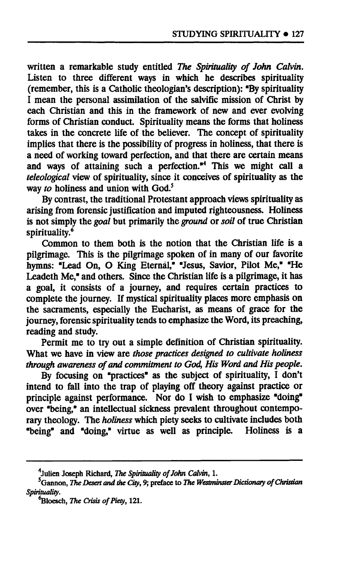**written a remarkable study entitled** *The Spirituality of John Calvin.*  Listen to three different ways in which he describes spirituality **(remember, this is a Catholic theologian's description): "By spirituality I mean the personal assimilation of the salvific mission of Christ by**  each Christian and this in the framework of new and ever evolving **forms of Christian conduct. Spirituality means the forms that holiness takes in the concrete life of the believer. The concept of spirituality implies that there is the possibility of progress in holiness, that there is a need of working toward perfection, and that there are certain means and ways of attaining such a perfection."<sup>4</sup> This we might call a**  *teleological* **view of spirituality, since it conceives of spirituality as the way** *to* **holiness and union with God.<sup>5</sup>**

**By contrast, the traditional Protestant approach views spirituality as arising from forensic justification and imputed righteousness. Holiness is not simply the** *goal* **but primarily the** *ground* **or** *soil* **of true Christian spirituality.<sup>6</sup>**

**Common to them both is the notion that the Christian life is a pilgrimage. This is the pilgrimage spoken of in many of our favorite hymns: "Lead On, O King Eternal," "Jesus, Savior, Pilot Me," "He Leadeth Me," and others. Since the Christian life is a pilgrimage, it has a goal, it consists of a journey, and requires certain practices to complete the journey. If mystical spirituality places more emphasis on the sacraments, especially the Eucharist, as means of grace for the journey, forensic spirituality tends to emphasize the Word, its preaching, reading and study.** 

**Permit me to try out a simple definition of Christian spirituality. What we have in view are** *those practices designed to cultivate holiness through awareness of and commitment to God, His Word and His people.* 

**By focusing on "practices" as the subject of spirituality, I don't intend to fall into the trap of playing off theory against practice or**  principle against performance. Nor do I wish to emphasize "doing" **over "being," an intellectual sickness prevalent throughout contemporary theology. The** *holiness* **which piety seeks to cultivate includes both "being" and "doing," virtue as well as principle. Holiness is a** 

**<sup>4</sup> Julien Joseph Richard,** *The Spirituality of John Calvin,* **1.** 

**<sup>5</sup>Gannon,** *The Desert and the City,* **9; preface to** *The Westminster Dictionary of Christian Spirituality.* 

**bloesch,** *The Crisis of Piety,* **121.**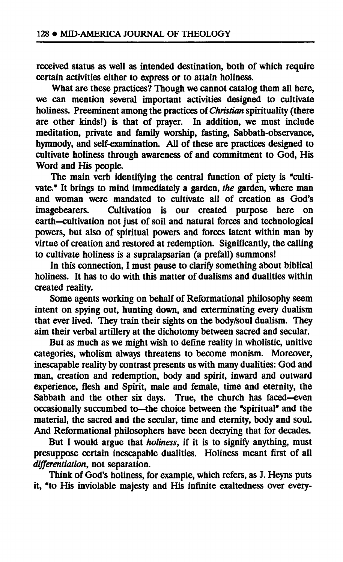**received status as well as intended destination, both of which require certain activities either to express or to attain holiness.** 

**What are these practices? Though we cannot catalog them all here, we can mention several important activities designed to cultivate holiness. Preeminent among the practices of** *Christian* **spirituality (there are other kinds!) is that of prayer. In addition, we must include meditation, private and family worship, fasting, Sabbath-observance, hymnody, and self-examination. All of these are practices designed to cultivate holiness through awareness of and commitment to God, His Word and His people.** 

**The main verb identifying the central function of piety is "cultivate." It brings to mind immediately a garden,** *the* **garden, where man and woman were mandated to cultivate all of creation as God's**  Cultivation is our created purpose here on **earth—cultivation not just of soil and natural forces and technological powers, but also of spiritual powers and forces latent within man by virtue of creation and restored at redemption. Significantly, the calling to cultivate holiness is a supralapsarian (a prefall) summons!** 

**In this connection, I must pause to clarify something about biblical holiness. It has to do with this matter of dualisms and dualities within created reality.** 

**Some agents working on behalf of Reformational philosophy seem intent on spying out, hunting down, and exterminating every dualism that ever lived. They train their sights on the body/soul dualism. They aim their verbal artillery at the dichotomy between sacred and secular.** 

**But as much as we might wish to define reality in wholistic, unitive categories, wholism always threatens to become monism. Moreover, inescapable reality by contrast presents us with many dualities: God and man, creation and redemption, body and spirit, inward and outward experience, flesh and Spirit, male and female, time and eternity, the Sabbath and the other six days. True, the church has faced—even occasionally succumbed to—the choice between the "spiritual" and the material, the sacred and the secular, time and eternity, body and soul. And Reformational philosophers have been decrying that for decades.** 

**But I would argue that** *holiness,* **if it is to signify anything, must presuppose certain inescapable dualities. Holiness meant first of all**  *differentiation,* **not separation.** 

**Think of God's holiness, for example, which refers, as J. Heyns puts it, "to His inviolable majesty and His infinite exaltedness over every-**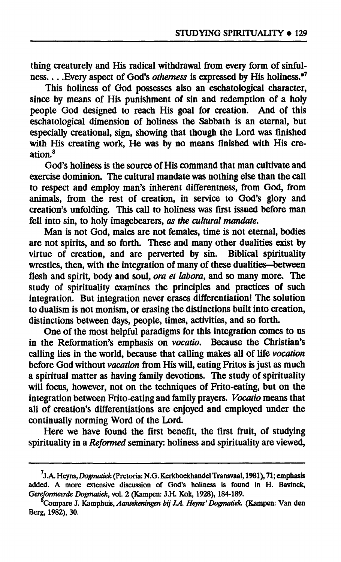**thing creaturely and His radical withdrawal from every form of sinfulness Every aspect of God's** *otherness* **is expressed by His holiness."<sup>7</sup>**

**This holiness of God possesses also an eschatological character, since by means of His punishment of sin and redemption of a holy people God designed to reach His goal for creation. And of this eschatological dimension of holiness the Sabbath is an eternal, but especially creational, sign, showing that though the Lord was finished with His creating work, He was by no means finished with His creation.<sup>8</sup>**

**God's holiness is the source of His command that man cultivate and exercise dominion. The cultural mandate was nothing else than the call to respect and employ man's inherent differentness, from God, from animals, from the rest of creation, in service to God's glory and creation's unfolding. This call to holiness was first issued before man fell into sin, to holy imagebearers,** *as the cultural mandate.* 

**Man is not God, males are not females, time is not eternal, bodies are not spirits, and so forth. These and many other dualities exist by virtue of creation, and are perverted by sin. Biblical spirituality wrestles, then, with the integration of many of these dualities—between flesh and spirit, body and soul,** *ora et labora,* **and so many more. The study of spirituality examines the principles and practices of such integration. But integration never erases differentiation! The solution to dualism is not monism, or erasing the distinctions built into creation, distinctions between days, people, times, activities, and so forth.** 

**One of the most helpful paradigms for this integration comes to us in the Reformation's emphasis on** *vocatio.* **Because the Christian's calling lies in the world, because that calling makes all of life** *vocation*  **before God without** *vacation* **from His will, eating Fritos is just as much a spiritual matter as having family devotions. The study of spirituality will focus, however, not on the techniques of Frito-eating, but on the integration between Frito-eating and family prayers.** *Vocatio* **means that all of creation's differentiations are enjoyed and employed under the continually norming Word of the Lord.** 

**Here we have found the first benefit, the first fruit, of studying spirituality in a** *Reformed* **seminary: holiness and spirituality are viewed,** 

**J.A. Heyns,** *Dogmatiek* **(Pretoria: N.G. Kerkboekhandel Transvaal, 1981), 71; emphasis added. A more extensive discussion of God's holiness is found in H. Bavinck,**  *Gereformeerde Dogmatiek,* **vol. 2 (Kampen: J.H. Kok, 1928), 184-189.** 

**Compare J. Kamphuis,** *Aantekeningen bij JA. Heyns' Dogmatiek* **(Kampen: Van den Berg, 1982), 30.**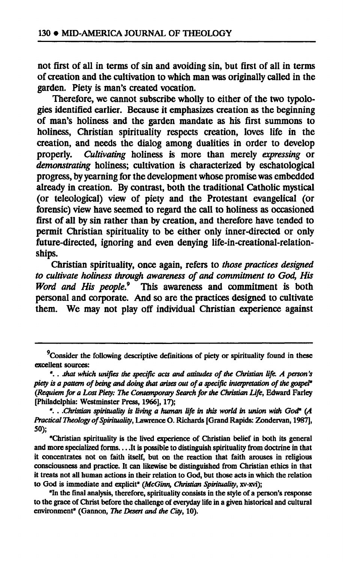**not first of all in terms of sin and avoiding sin, but first of all in terms of creation and the cultivation to which man was originally called in the garden. Piety is man's created vocation.** 

**Therefore, we cannot subscribe wholly to either of the two typologies identified earlier. Because it emphasizes creation as the beginning of man's holiness and the garden mandate as his first summons to holiness, Christian spirituality respects creation, loves life in the creation, and needs the dialog among dualities in order to develop properly.** *Cultivating* **holiness is more than merely** *expressing* **or**  *demonstrating* **holiness; cultivation is characterized by eschatological progress, by yearning for the development whose promise was embedded already in creation. By contrast, both the traditional Catholic mystical (or teleological) view of piety and the Protestant evangelical (or forensic) view have seemed to regard the call to holiness as occasioned first of all by sin rather than by creation, and therefore have tended to permit Christian spirituality to be either only inner-directed or only future-directed, ignoring and even denying life-in-creational-relationships.** 

**Christian spirituality, once again, refers to** *those practices designed to cultivate holiness through awareness of and commitment to God, His Word and His people.<sup>9</sup>*  **This awareness and commitment is both personal and corporate. And so are the practices designed to cultivate them. We may not play off individual Christian experience against** 

<sup>&</sup>lt;sup>9</sup> Consider the following descriptive definitions of piety or spirituality found in these **excellent sources:** 

**<sup>&</sup>quot;. .** *Jthat which unifies the specific acts and attitudes of the Christian life. A person's piety is a pattern of being and doing that arises out of a specific interpretation of the gospel" (Requiem for a Lost Piety: The Contemporary Search for the Christian Life,* **Edward Farley [Philadelphia: Westminster Press, 1966], 17);** 

**<sup>&</sup>quot;. .** *.Christian spirituality is living a human life in this world in union with God" (A Practical Theology of Spirituality,* **Lawrence O. Richards [Grand Rapids: Zondervan, 1987], 50);** 

**<sup>&</sup>quot;Christian spirituality is the lived experience of Christian belief in both its general**  and more specialized forms. . . . It is possible to distinguish spirituality from doctrine in that **it concentrates not on faith itself, but on the reaction that faith arouses in religious consciousness and practice. It can likewise be distinguished from Christian ethics in that it treats not all human actions in their relation to God, but those acts in which the relation to God is immediate and explicit"** *(McGinn, Christian Spirituality,* **xv-xvi);** 

**<sup>&</sup>quot;In the final analysis, therefore, spirituality consists in the style of a person's response to the grace of Christ before the challenge of everyday life in a given historical and cultural**  environment" (Gannon, *The Desert and the City*, 10).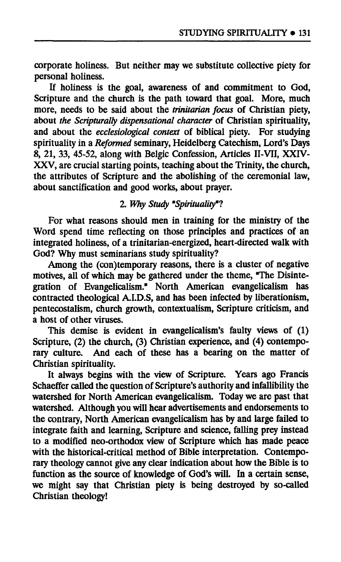**corporate holiness. But neither may we substitute collective piety for personal holiness.** 

**If holiness is the goal, awareness of and commitment to God, Scripture and the church is the path toward that goal. More, much more, needs to be said about the** *trinitarian focus* **of Christian piety, about** *the Scripturalty dispensational character* **of Christian spirituality, and about the** *ecclesiological context* **of biblical piety. For studying spirituality in a** *Reformed* **seminary, Heidelberg Catechism, Lord's Days 8, 21, 33, 45-52, along with Belgic Confession, Articles II-VII, XXIV-XXV, are crucial starting points, teaching about the Trinity, the church, the attributes of Scripture and the abolishing of the ceremonial law, about sanctification and good works, about prayer.** 

# **2.** *Why Study \*Spirìtualitymtì*

**For what reasons should men in training for the ministry of the Word spend time reflecting on those principles and practices of an integrated holiness, of a trinitarian-energized, heart-directed walk with God? Why must seminarians study spirituality?** 

**Among the (con)temporary reasons, there is a cluster of negative motives, all of which may be gathered under the theme, "The Disintegration of Evangelicalism." North American evangelicalism has contracted theological A.I.D.S, and has been infected by liberationism, pentecostalism, church growth, contextualism, Scripture criticism, and a host of other viruses.** 

**This demise is evident in evangelicalism's faulty views of (1) Scripture, (2) the church, (3) Christian experience, and (4) contempo**rary culture. And each of these has a bearing on the matter of **Christian spirituality.** 

**It always begins with the view of Scripture. Years ago Francis Schaeffer called the question of Scripture's authority and infallibility the watershed for North American evangelicalism. Today we are past that watershed. Although you will hear advertisements and endorsements to the contrary, North American evangelicalism has by and large failed to integrate faith and learning, Scripture and science, falling prey instead to a modified neo-orthodox view of Scripture which has made peace with the historical-critical method of Bible interpretation. Contemporary theology cannot give any clear indication about how the Bible is to function as the source of knowledge of God's will. In a certain sense, we might say that Christian piety is being destroyed by so-called Christian theology!**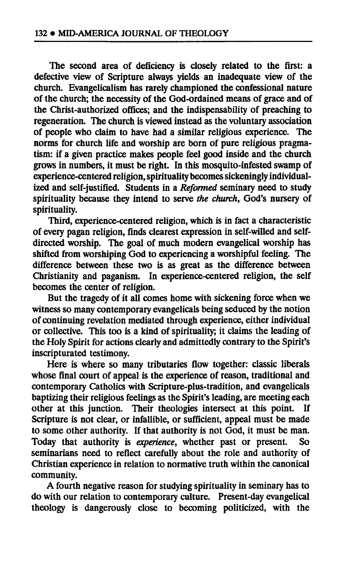**The second area of deficiency is closely related to the first: a defective view of Scripture always yields an inadequate view of the church. Evangelicalism has rarely championed the confessional nature of the church; the necessity of the God-ordained means of grace and of the Christ-authorized offices; and the indispensability of preaching to regeneration. The church is viewed instead as the voluntary association of people who claim to have had a similar religious experience. The norms for church life and worship are born of pure religious pragmatism: if a given practice makes people feel good inside and the church grows in numbers, it must be right. In this mosquito-infested swamp of experience-centered religion, spirituality becomes sickeningly individualized and self-justified. Students in a** *Reformed* **seminary need to study spirituality because they intend to serve** *the church,* **God's nursery of spirituality.** 

**Third, experience-centered religion, which is in fact a characteristic of every pagan religion, finds clearest expression in self-willed and selfdirected worship. The goal of much modern evangelical worship has shifted from worshiping God to experiencing a worshipful feeling. The difference between these two is as great as the difference between Christianity and paganism. In experience-centered religion, the self becomes the center of religion.** 

**But the tragedy of it all comes home with sickening force when we witness so many contemporary evangelicals being seduced by the notion of continuing revelation mediated through experience, either individual or collective. This too is a kind of spirituality; it claims the leading of the Holy Spirit for actions clearly and admittedly contrary to the Spirit's inscripturated testimony.** 

**Here is where so many tributaries flow together: classic liberals**  whose final court of appeal is the experience of reason, traditional and **contemporary Catholics with Scripture-plus-tradition, and evangelicals baptizing their religious feelings as the Spirit's leading, are meeting each other at this junction. Their theologies intersect at this point. If Scripture is not clear, or infallible, or sufficient, appeal must be made to some other authority. If that authority is not God, it must be man. Today that authority is** *experience,* **whether past or present. So seminarians need to reflect carefully about the role and authority of Christian experience in relation to normative truth within the canonical community.** 

**A fourth negative reason for studying spirituality in seminary has to do with our relation to contemporary culture. Present-day evangelical theology is dangerously close to becoming politicized, with the**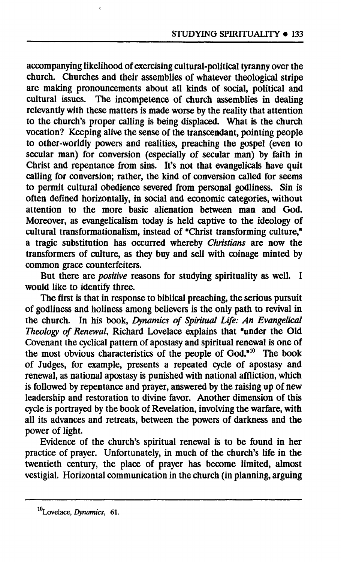**accompanying likelihood of exercising cultural-political tyranny over the church. Churches and their assemblies of whatever theological stripe are making pronouncements about all kinds of social, political and cultural issues. The incompetence of church assemblies in dealing relevantly with these matters is made worse by the reality that attention to the church's proper calling is being displaced. What is the church vocation? Keeping alive the sense of the transcendant, pointing people to other-worldly powers and realities, preaching the gospel (even to secular man) for conversion (especially of secular man) by faith in Christ and repentance from sins. It's not that evangelicals have quit calling for conversion; rather, the kind of conversion called for seems to permit cultural obedience severed from personal godliness. Sin is often defined horizontally, in social and economic categories, without attention to the more basic alienation between man and God. Moreover, as evangelicalism today is held captive to the ideology of cultural transformationalism, instead of "Christ transforming culture," a tragic substitution has occurred whereby** *Christians* **are now the transformers of culture, as they buy and sell with coinage minted by common grace counterfeiters.** 

**But there are** *positive* **reasons for studying spirituality as well. I would like to identify three.** 

**The first is that in response to biblical preaching, the serious pursuit of godliness and holiness among believers is the only path to revival in the church. In his book,** *Dynamics of Spiritual Life: An Evangelical Theology of Renewal,* **Richard Lovelace explains that "under the Old Covenant the cyclical pattern of apostasy and spiritual renewal is one of the most obvious characteristics of the people of God."<sup>10</sup> The book of Judges, for example, presents a repeated cycle of apostasy and renewal, as national apostasy is punished with national affliction, which is followed by repentance and prayer, answered by the raising up of new leadership and restoration to divine favor. Another dimension of this cycle is portrayed by the book of Revelation, involving the warfare, with all its advances and retreats, between the powers of darkness and the power of light.** 

**Evidence of the church's spiritual renewal is to be found in her practice of prayer. Unfortunately, in much of the church's life in the twentieth century, the place of prayer has become limited, almost vestigial. Horizontal communication in the church (in planning, arguing** 

Lovelace, *Dynamics,* 61.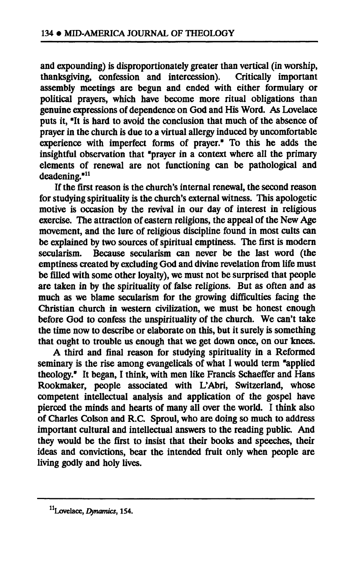**and expounding) is disproportionately greater than vertical (in worship,**  thanksgiving, confession and intercession). **assembly meetings are begun and ended with either formulary or political prayers, which have become more ritual obligations than genuine expressions of dependence on God and His Word. As Lovelace puts it, "It is hard to avoid the conclusion that much of the absence of prayer in the church is due to a virtual allergy induced by uncomfortable experience with imperfect forms of prayer." To this he adds the insightful observation that "prayer in a context where all the primary elements of renewal are not functioning can be pathological and deadening."<sup>11</sup>**

**If the first reason is the church's internal renewal, the second reason for studying spirituality is the church's external witness. This apologetic motive is occasion by the revival in our day of interest in religious exercise. The attraction of eastern religions, the appeal of the New Age movement, and the lure of religious discipline found in most cults can be explained by two sources of spiritual emptiness. The first is modern secularism. Because secularism can never be the last word (the emptiness created by excluding God and divine revelation from life must be filled with some other loyalty), we must not be surprised that people are taken in by the spirituality of false religions. But as often and as much as we blame secularism for the growing difficulties facing the Christian church in western civilization, we must be honest enough before God to confess the unspirituality of the church. We can't take the time now to describe or elaborate on this, but it surely is something that ought to trouble us enough that we get down once, on our knees.** 

**A third and final reason for studying spirituality in a Reformed seminary is the rise among evangelicals of what I would term "applied theology." It began, I think, with men like Francis Schaeffer and Hans Rookmaker, people associated with L'Abri, Switzerland, whose competent intellectual analysis and application of the gospel have pierced the minds and hearts of many all over the world. I think also of Charles Colson and R.C. Sproul, who are doing so much to address important cultural and intellectual answers to the reading public. And they would be the first to insist that their books and speeches, their ideas and convictions, bear the intended fruit only when people are living godly and holy lives.** 

**Lovelace,** *Dynamics,* **154.**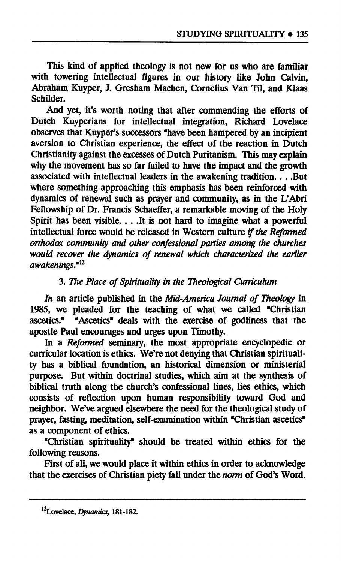**This kind of applied theology is not new for us who are familiar with towering intellectual figures in our history like John Calvin, Abraham Kuyper, J. Gresham Machen, Cornelius Van Til, and Klaas Schilder.** 

**And yet, it's worth noting that after commending the efforts of Dutch Kuyperians for intellectual integration, Richard Lovelace observes that Kuyper's successors "have been hampered by an incipient aversion to Christian experience, the effect of the reaction in Dutch Christianity against the excesses of Dutch Puritanism. This may explain why the movement has so far failed to have the impact and the growth associated with intellectual leaders in the awakening tradition... .But where something approaching this emphasis has been reinforced with dynamics of renewal such as prayer and community, as in the L'Abri Fellowship of Dr. Francis Schaeffer, a remarkable moving of the Holy Spirit has been visible. . . .It is not hard to imagine what a powerful intellectual force would be released in Western culture** *if the Reformed orthodox community and other confessional parties among the churches would recover the dynamics of renewal which characterized the earlier awakenings.<sup>1112</sup>*

## **3.** *The Place of Spirituality in the Theological Curriculum*

*In* **an article published in the** *Mid-America Journal of Theology* **in 1985, we pleaded for the teaching of what we called "Christian ascetics." "Ascetics" deals with the exercise of godliness that the apostle Paul encourages and urges upon Timothy.** 

**In a** *Reformed* **seminary, the most appropriate encyclopedic or curricular location is ethics. We're not denying that Christian spirituality has a biblical foundation, an historical dimension or ministerial purpose. But within doctrinal studies, which aim at the synthesis of biblical truth along the church's confessional lines, lies ethics, which consists of reflection upon human responsibility toward God and neighbor. We've argued elsewhere the need for the theological study of prayer, fasting, meditation, self-examination within "Christian ascetics" as a component of ethics.** 

**"Christian spirituality" should be treated within ethics for the following reasons.** 

**First of all, we would place it within ethics in order to acknowledge that the exercises of Christian piety fall under the** *norm* **of God's Word.** 

**<sup>12</sup>Lovelace,** *Dynamics,* **181-182.**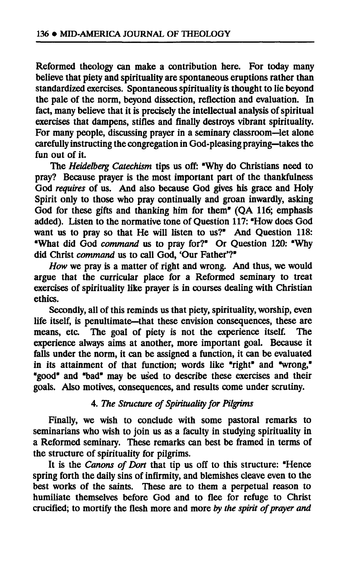**Reformed theology can make a contribution here. For today many believe that piety and spirituality are spontaneous eruptions rather than standardized exercises. Spontaneous spirituality is thought to lie beyond the pale of the norm, beyond dissection, reflection and evaluation. In fact, many believe that it is precisely the intellectual analysis of spiritual exercises that dampens, stifles and finally destroys vibrant spirituality. For many people, discussing prayer in a seminary classroom—let alone carefully instructing the congregation in God-pleasing praying—takes the fun out of it.** 

**The** *Heidelberg Catechism* **tips us off: "Why do Christians need to pray? Because prayer is the most important part of the thankfulness God** *requires* **of us. And also because God gives his grace and Holy Spirit only to those who pray continually and groan inwardly, asking God for these gifts and thanking him for them" (QA 116; emphasis added). Listen to the normative tone of Question 117: "How does God want us to pray so that He will listen to us?" And Question 118: "What did God** *command* **us to pray for?" Or Question 120: "Why did Christ** *command* **us to call God, Our Father'?"** 

*How* **we pray is a matter of right and wrong. And thus, we would argue that the curricular place for a Reformed seminary to treat exercises of spirituality like prayer is in courses dealing with Christian ethics.** 

**Secondly, all of this reminds us that piety, spirituality, worship, even life itself, is penultimate—that these envision consequences, these are**  The goal of piety is not the experience itself. The **experience always aims at another, more important goal. Because it falls under the norm, it can be assigned a function, it can be evaluated in its attainment of that function; words like "right" and "wrong," "good" and "bad" may be used to describe these exercises and their goals. Also motives, consequences, and results come under scrutiny.** 

### **4.** *The Structure of Spirituality for Pilgrims*

**Finally, we wish to conclude with some pastoral remarks to seminarians who wish to join us as a faculty in studying spirituality in a Reformed seminary. These remarks can best be framed in terms of the structure of spirituality for pilgrims.** 

**It is the** *Canons of Dort* **that tip us off to this structure: "Hence spring forth the daily sins of infirmity, and blemishes cleave even to the best works of the saints. These are to them a perpetual reason to humiliate themselves before God and to flee for refuge to Christ crucified; to mortify the flesh more and more** *by the spirit of prayer and*